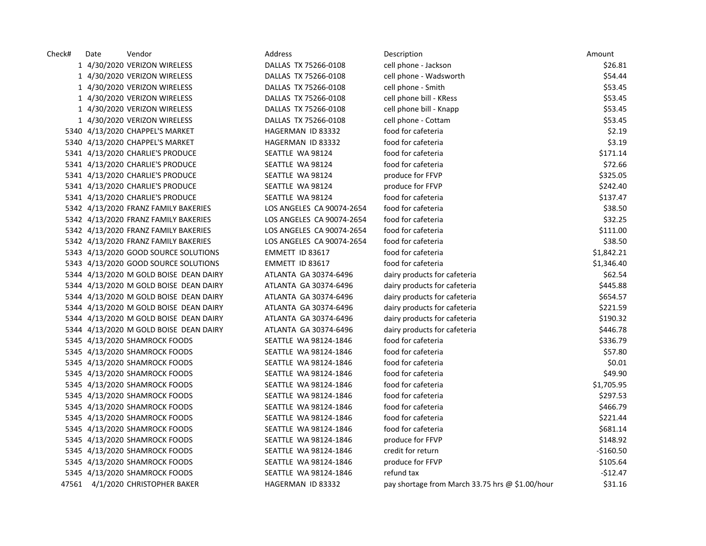| Check# | Date | Vendor                                 | Address                   | Description                                     | Amount     |
|--------|------|----------------------------------------|---------------------------|-------------------------------------------------|------------|
|        |      | 1 4/30/2020 VERIZON WIRELESS           | DALLAS TX 75266-0108      | cell phone - Jackson                            | \$26.81    |
|        |      | 1 4/30/2020 VERIZON WIRELESS           | DALLAS TX 75266-0108      | cell phone - Wadsworth                          | \$54.44    |
|        |      | 1 4/30/2020 VERIZON WIRELESS           | DALLAS TX 75266-0108      | cell phone - Smith                              | \$53.45    |
|        |      | 1 4/30/2020 VERIZON WIRELESS           | DALLAS TX 75266-0108      | cell phone bill - KRess                         | \$53.45    |
|        |      | 1 4/30/2020 VERIZON WIRELESS           | DALLAS TX 75266-0108      | cell phone bill - Knapp                         | \$53.45    |
|        |      | 1 4/30/2020 VERIZON WIRELESS           | DALLAS TX 75266-0108      | cell phone - Cottam                             | \$53.45    |
|        |      | 5340 4/13/2020 CHAPPEL'S MARKET        | HAGERMAN ID 83332         | food for cafeteria                              | \$2.19     |
|        |      | 5340 4/13/2020 CHAPPEL'S MARKET        | HAGERMAN ID 83332         | food for cafeteria                              | \$3.19     |
|        |      | 5341 4/13/2020 CHARLIE'S PRODUCE       | SEATTLE WA 98124          | food for cafeteria                              | \$171.14   |
|        |      | 5341 4/13/2020 CHARLIE'S PRODUCE       | SEATTLE WA 98124          | food for cafeteria                              | \$72.66    |
|        |      | 5341 4/13/2020 CHARLIE'S PRODUCE       | SEATTLE WA 98124          | produce for FFVP                                | \$325.05   |
|        |      | 5341 4/13/2020 CHARLIE'S PRODUCE       | SEATTLE WA 98124          | produce for FFVP                                | \$242.40   |
|        |      | 5341 4/13/2020 CHARLIE'S PRODUCE       | SEATTLE WA 98124          | food for cafeteria                              | \$137.47   |
|        |      | 5342 4/13/2020 FRANZ FAMILY BAKERIES   | LOS ANGELES CA 90074-2654 | food for cafeteria                              | \$38.50    |
|        |      | 5342 4/13/2020 FRANZ FAMILY BAKERIES   | LOS ANGELES CA 90074-2654 | food for cafeteria                              | \$32.25    |
|        |      | 5342 4/13/2020 FRANZ FAMILY BAKERIES   | LOS ANGELES CA 90074-2654 | food for cafeteria                              | \$111.00   |
|        |      | 5342 4/13/2020 FRANZ FAMILY BAKERIES   | LOS ANGELES CA 90074-2654 | food for cafeteria                              | \$38.50    |
|        |      | 5343 4/13/2020 GOOD SOURCE SOLUTIONS   | EMMETT ID 83617           | food for cafeteria                              | \$1,842.21 |
|        |      | 5343 4/13/2020 GOOD SOURCE SOLUTIONS   | EMMETT ID 83617           | food for cafeteria                              | \$1,346.40 |
|        |      | 5344 4/13/2020 M GOLD BOISE DEAN DAIRY | ATLANTA GA 30374-6496     | dairy products for cafeteria                    | \$62.54    |
|        |      | 5344 4/13/2020 M GOLD BOISE DEAN DAIRY | ATLANTA GA 30374-6496     | dairy products for cafeteria                    | \$445.88   |
|        |      | 5344 4/13/2020 M GOLD BOISE DEAN DAIRY | ATLANTA GA 30374-6496     | dairy products for cafeteria                    | \$654.57   |
|        |      | 5344 4/13/2020 M GOLD BOISE DEAN DAIRY | ATLANTA GA 30374-6496     | dairy products for cafeteria                    | \$221.59   |
|        |      | 5344 4/13/2020 M GOLD BOISE DEAN DAIRY | ATLANTA GA 30374-6496     | dairy products for cafeteria                    | \$190.32   |
|        |      | 5344 4/13/2020 M GOLD BOISE DEAN DAIRY | ATLANTA GA 30374-6496     | dairy products for cafeteria                    | \$446.78   |
|        |      | 5345 4/13/2020 SHAMROCK FOODS          | SEATTLE WA 98124-1846     | food for cafeteria                              | \$336.79   |
|        |      | 5345 4/13/2020 SHAMROCK FOODS          | SEATTLE WA 98124-1846     | food for cafeteria                              | \$57.80    |
|        |      | 5345 4/13/2020 SHAMROCK FOODS          | SEATTLE WA 98124-1846     | food for cafeteria                              | \$0.01     |
|        |      | 5345 4/13/2020 SHAMROCK FOODS          | SEATTLE WA 98124-1846     | food for cafeteria                              | \$49.90    |
|        |      | 5345 4/13/2020 SHAMROCK FOODS          | SEATTLE WA 98124-1846     | food for cafeteria                              | \$1,705.95 |
|        |      | 5345 4/13/2020 SHAMROCK FOODS          | SEATTLE WA 98124-1846     | food for cafeteria                              | \$297.53   |
|        |      | 5345 4/13/2020 SHAMROCK FOODS          | SEATTLE WA 98124-1846     | food for cafeteria                              | \$466.79   |
|        |      | 5345 4/13/2020 SHAMROCK FOODS          | SEATTLE WA 98124-1846     | food for cafeteria                              | \$221.44   |
|        |      | 5345 4/13/2020 SHAMROCK FOODS          | SEATTLE WA 98124-1846     | food for cafeteria                              | \$681.14   |
|        |      | 5345 4/13/2020 SHAMROCK FOODS          | SEATTLE WA 98124-1846     | produce for FFVP                                | \$148.92   |
|        |      | 5345 4/13/2020 SHAMROCK FOODS          | SEATTLE WA 98124-1846     | credit for return                               | $-$160.50$ |
|        |      | 5345 4/13/2020 SHAMROCK FOODS          | SEATTLE WA 98124-1846     | produce for FFVP                                | \$105.64   |
|        |      | 5345 4/13/2020 SHAMROCK FOODS          | SEATTLE WA 98124-1846     | refund tax                                      | -\$12.47   |
|        |      | 47561 4/1/2020 CHRISTOPHER BAKER       | HAGERMAN ID 83332         | pay shortage from March 33.75 hrs @ \$1.00/hour | \$31.16    |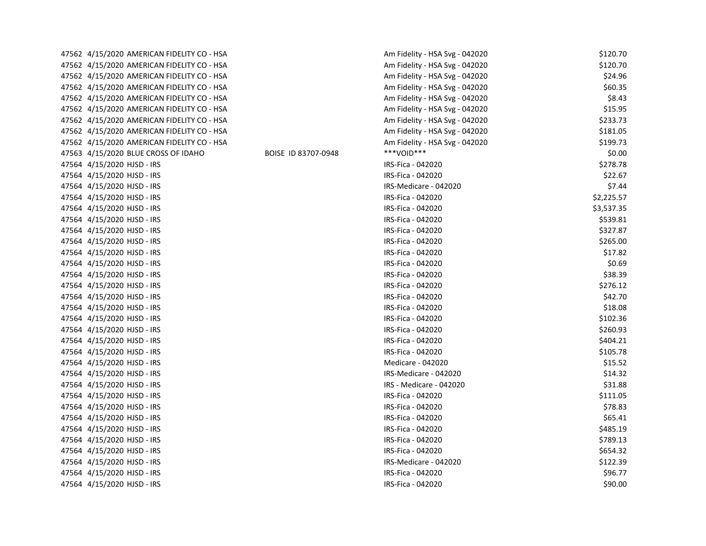| 47562 4/15/2020 AMERICAN FIDELITY CO - HSA |                     | Am Fidelity - HSA Svg - 042020 | \$120.70   |
|--------------------------------------------|---------------------|--------------------------------|------------|
| 47562 4/15/2020 AMERICAN FIDELITY CO - HSA |                     | Am Fidelity - HSA Svg - 042020 | \$120.70   |
| 47562 4/15/2020 AMERICAN FIDELITY CO - HSA |                     | Am Fidelity - HSA Svg - 042020 | \$24.96    |
| 47562 4/15/2020 AMERICAN FIDELITY CO - HSA |                     | Am Fidelity - HSA Svg - 042020 | \$60.35    |
| 47562 4/15/2020 AMERICAN FIDELITY CO - HSA |                     | Am Fidelity - HSA Svg - 042020 | \$8.43     |
| 47562 4/15/2020 AMERICAN FIDELITY CO - HSA |                     | Am Fidelity - HSA Svg - 042020 | \$15.95    |
| 47562 4/15/2020 AMERICAN FIDELITY CO - HSA |                     | Am Fidelity - HSA Svg - 042020 | \$233.73   |
| 47562 4/15/2020 AMERICAN FIDELITY CO - HSA |                     | Am Fidelity - HSA Svg - 042020 | \$181.05   |
| 47562 4/15/2020 AMERICAN FIDELITY CO - HSA |                     | Am Fidelity - HSA Svg - 042020 | \$199.73   |
| 47563 4/15/2020 BLUE CROSS OF IDAHO        | BOISE ID 83707-0948 | ***VOID***                     | \$0.00     |
| 47564 4/15/2020 HJSD - IRS                 |                     | IRS-Fica - 042020              | \$278.78   |
| 47564 4/15/2020 HJSD - IRS                 |                     | IRS-Fica - 042020              | \$22.67    |
| 47564 4/15/2020 HJSD - IRS                 |                     | IRS-Medicare - 042020          | \$7.44     |
| 47564 4/15/2020 HJSD - IRS                 |                     | IRS-Fica - 042020              | \$2,225.57 |
| 47564 4/15/2020 HJSD - IRS                 |                     | IRS-Fica - 042020              | \$3,537.35 |
| 47564 4/15/2020 HJSD - IRS                 |                     | IRS-Fica - 042020              | \$539.81   |
| 47564 4/15/2020 HJSD - IRS                 |                     | IRS-Fica - 042020              | \$327.87   |
| 47564 4/15/2020 HJSD - IRS                 |                     | IRS-Fica - 042020              | \$265.00   |
| 47564 4/15/2020 HJSD - IRS                 |                     | IRS-Fica - 042020              | \$17.82    |
| 47564 4/15/2020 HJSD - IRS                 |                     | IRS-Fica - 042020              | \$0.69     |
| 47564 4/15/2020 HJSD - IRS                 |                     | IRS-Fica - 042020              | \$38.39    |
| 47564 4/15/2020 HJSD - IRS                 |                     | IRS-Fica - 042020              | \$276.12   |
| 47564 4/15/2020 HJSD - IRS                 |                     | IRS-Fica - 042020              | \$42.70    |
| 47564 4/15/2020 HJSD - IRS                 |                     | IRS-Fica - 042020              | \$18.08    |
| 47564 4/15/2020 HJSD - IRS                 |                     | IRS-Fica - 042020              | \$102.36   |
| 47564 4/15/2020 HJSD - IRS                 |                     | IRS-Fica - 042020              | \$260.93   |
| 47564 4/15/2020 HJSD - IRS                 |                     | IRS-Fica - 042020              | \$404.21   |
| 47564 4/15/2020 HJSD - IRS                 |                     | IRS-Fica - 042020              | \$105.78   |
| 47564 4/15/2020 HJSD - IRS                 |                     | Medicare - 042020              | \$15.52    |
| 47564 4/15/2020 HJSD - IRS                 |                     | IRS-Medicare - 042020          | \$14.32    |
| 47564 4/15/2020 HJSD - IRS                 |                     | IRS - Medicare - 042020        | \$31.88    |
| 47564 4/15/2020 HJSD - IRS                 |                     | IRS-Fica - 042020              | \$111.05   |
| 47564 4/15/2020 HJSD - IRS                 |                     | IRS-Fica - 042020              | \$78.83    |
| 47564 4/15/2020 HJSD - IRS                 |                     | IRS-Fica - 042020              | \$65.41    |
| 47564 4/15/2020 HJSD - IRS                 |                     | IRS-Fica - 042020              | \$485.19   |
| 47564 4/15/2020 HJSD - IRS                 |                     | IRS-Fica - 042020              | \$789.13   |
| 47564 4/15/2020 HJSD - IRS                 |                     | IRS-Fica - 042020              | \$654.32   |
| 47564 4/15/2020 HJSD - IRS                 |                     | IRS-Medicare - 042020          | \$122.39   |
| 47564 4/15/2020 HJSD - IRS                 |                     | IRS-Fica - 042020              | \$96.77    |
| 47564 4/15/2020 HJSD - IRS                 |                     | IRS-Fica - 042020              | \$90.00    |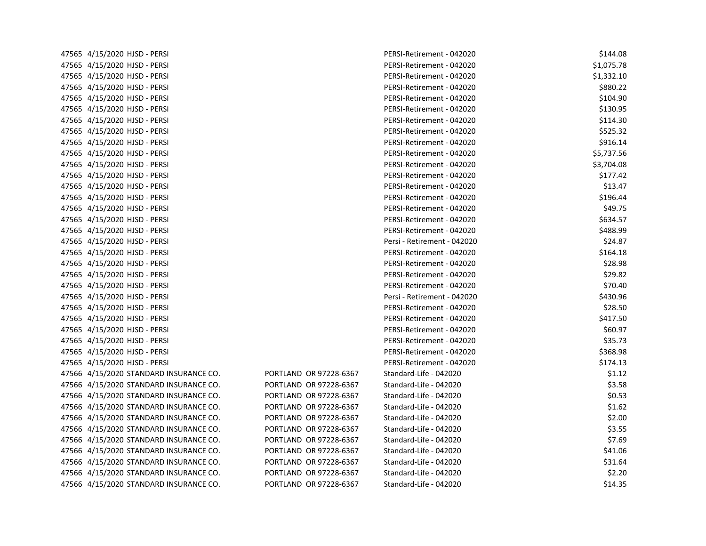| 47565 4/15/2020 HJSD - PERSI           |                        | PERSI-Retirement - 042020   | \$144.08   |
|----------------------------------------|------------------------|-----------------------------|------------|
| 47565 4/15/2020 HJSD - PERSI           |                        | PERSI-Retirement - 042020   | \$1,075.78 |
| 47565 4/15/2020 HJSD - PERSI           |                        | PERSI-Retirement - 042020   | \$1,332.10 |
| 47565 4/15/2020 HJSD - PERSI           |                        | PERSI-Retirement - 042020   | \$880.22   |
| 47565 4/15/2020 HJSD - PERSI           |                        | PERSI-Retirement - 042020   | \$104.90   |
| 47565 4/15/2020 HJSD - PERSI           |                        | PERSI-Retirement - 042020   | \$130.95   |
| 47565 4/15/2020 HJSD - PERSI           |                        | PERSI-Retirement - 042020   | \$114.30   |
| 47565 4/15/2020 HJSD - PERSI           |                        | PERSI-Retirement - 042020   | \$525.32   |
| 47565 4/15/2020 HJSD - PERSI           |                        | PERSI-Retirement - 042020   | \$916.14   |
| 47565 4/15/2020 HJSD - PERSI           |                        | PERSI-Retirement - 042020   | \$5,737.56 |
| 47565 4/15/2020 HJSD - PERSI           |                        | PERSI-Retirement - 042020   | \$3,704.08 |
| 47565 4/15/2020 HJSD - PERSI           |                        | PERSI-Retirement - 042020   | \$177.42   |
| 47565 4/15/2020 HJSD - PERSI           |                        | PERSI-Retirement - 042020   | \$13.47    |
| 47565 4/15/2020 HJSD - PERSI           |                        | PERSI-Retirement - 042020   | \$196.44   |
| 47565 4/15/2020 HJSD - PERSI           |                        | PERSI-Retirement - 042020   | \$49.75    |
| 47565 4/15/2020 HJSD - PERSI           |                        | PERSI-Retirement - 042020   | \$634.57   |
| 47565 4/15/2020 HJSD - PERSI           |                        | PERSI-Retirement - 042020   | \$488.99   |
| 47565 4/15/2020 HJSD - PERSI           |                        | Persi - Retirement - 042020 | \$24.87    |
| 47565 4/15/2020 HJSD - PERSI           |                        | PERSI-Retirement - 042020   | \$164.18   |
| 47565 4/15/2020 HJSD - PERSI           |                        | PERSI-Retirement - 042020   | \$28.98    |
| 47565 4/15/2020 HJSD - PERSI           |                        | PERSI-Retirement - 042020   | \$29.82    |
| 47565 4/15/2020 HJSD - PERSI           |                        | PERSI-Retirement - 042020   | \$70.40    |
| 47565 4/15/2020 HJSD - PERSI           |                        | Persi - Retirement - 042020 | \$430.96   |
| 47565 4/15/2020 HJSD - PERSI           |                        | PERSI-Retirement - 042020   | \$28.50    |
| 47565 4/15/2020 HJSD - PERSI           |                        | PERSI-Retirement - 042020   | \$417.50   |
| 47565 4/15/2020 HJSD - PERSI           |                        | PERSI-Retirement - 042020   | \$60.97    |
| 47565 4/15/2020 HJSD - PERSI           |                        | PERSI-Retirement - 042020   | \$35.73    |
| 47565 4/15/2020 HJSD - PERSI           |                        | PERSI-Retirement - 042020   | \$368.98   |
| 47565 4/15/2020 HJSD - PERSI           |                        | PERSI-Retirement - 042020   | \$174.13   |
| 47566 4/15/2020 STANDARD INSURANCE CO. | PORTLAND OR 97228-6367 | Standard-Life - 042020      | \$1.12     |
| 47566 4/15/2020 STANDARD INSURANCE CO. | PORTLAND OR 97228-6367 | Standard-Life - 042020      | \$3.58     |
| 47566 4/15/2020 STANDARD INSURANCE CO. | PORTLAND OR 97228-6367 | Standard-Life - 042020      | \$0.53     |
| 47566 4/15/2020 STANDARD INSURANCE CO. | PORTLAND OR 97228-6367 | Standard-Life - 042020      | \$1.62     |
| 47566 4/15/2020 STANDARD INSURANCE CO. | PORTLAND OR 97228-6367 | Standard-Life - 042020      | \$2.00     |
| 47566 4/15/2020 STANDARD INSURANCE CO. | PORTLAND OR 97228-6367 | Standard-Life - 042020      | \$3.55     |
| 47566 4/15/2020 STANDARD INSURANCE CO. | PORTLAND OR 97228-6367 | Standard-Life - 042020      | \$7.69     |
| 47566 4/15/2020 STANDARD INSURANCE CO. | PORTLAND OR 97228-6367 | Standard-Life - 042020      | \$41.06    |
| 47566 4/15/2020 STANDARD INSURANCE CO. | PORTLAND OR 97228-6367 | Standard-Life - 042020      | \$31.64    |
| 47566 4/15/2020 STANDARD INSURANCE CO. | PORTLAND OR 97228-6367 | Standard-Life - 042020      | \$2.20     |
| 47566 4/15/2020 STANDARD INSURANCE CO. | PORTLAND OR 97228-6367 | Standard-Life - 042020      | \$14.35    |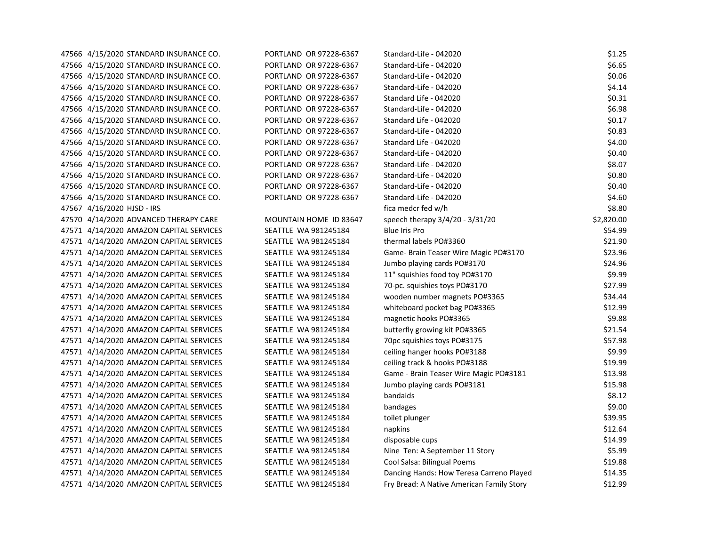| 47566 4/15/2020 STANDARD INSURANCE CO.  | PORTLAND OR 97228-6367 | Standard-Life - 042020                    | \$1.25     |
|-----------------------------------------|------------------------|-------------------------------------------|------------|
| 47566 4/15/2020 STANDARD INSURANCE CO.  | PORTLAND OR 97228-6367 | Standard-Life - 042020                    | \$6.65     |
| 47566 4/15/2020 STANDARD INSURANCE CO.  | PORTLAND OR 97228-6367 | Standard-Life - 042020                    | \$0.06     |
| 47566 4/15/2020 STANDARD INSURANCE CO.  | PORTLAND OR 97228-6367 | Standard-Life - 042020                    | \$4.14     |
| 47566 4/15/2020 STANDARD INSURANCE CO.  | PORTLAND OR 97228-6367 | Standard Life - 042020                    | \$0.31     |
| 47566 4/15/2020 STANDARD INSURANCE CO.  | PORTLAND OR 97228-6367 | Standard-Life - 042020                    | \$6.98     |
| 47566 4/15/2020 STANDARD INSURANCE CO.  | PORTLAND OR 97228-6367 | Standard Life - 042020                    | \$0.17     |
| 47566 4/15/2020 STANDARD INSURANCE CO.  | PORTLAND OR 97228-6367 | Standard-Life - 042020                    | \$0.83     |
| 47566 4/15/2020 STANDARD INSURANCE CO.  | PORTLAND OR 97228-6367 | Standard Life - 042020                    | \$4.00     |
| 47566 4/15/2020 STANDARD INSURANCE CO.  | PORTLAND OR 97228-6367 | Standard-Life - 042020                    | \$0.40     |
| 47566 4/15/2020 STANDARD INSURANCE CO.  | PORTLAND OR 97228-6367 | Standard-Life - 042020                    | \$8.07     |
| 47566 4/15/2020 STANDARD INSURANCE CO.  | PORTLAND OR 97228-6367 | Standard-Life - 042020                    | \$0.80     |
| 47566 4/15/2020 STANDARD INSURANCE CO.  | PORTLAND OR 97228-6367 | Standard-Life - 042020                    | \$0.40     |
| 47566 4/15/2020 STANDARD INSURANCE CO.  | PORTLAND OR 97228-6367 | Standard-Life - 042020                    | \$4.60     |
| 47567 4/16/2020 HJSD - IRS              |                        | fica medcr fed w/h                        | \$8.80     |
| 47570 4/14/2020 ADVANCED THERAPY CARE   | MOUNTAIN HOME ID 83647 | speech therapy 3/4/20 - 3/31/20           | \$2,820.00 |
| 47571 4/14/2020 AMAZON CAPITAL SERVICES | SEATTLE WA 981245184   | Blue Iris Pro                             | \$54.99    |
| 47571 4/14/2020 AMAZON CAPITAL SERVICES | SEATTLE WA 981245184   | thermal labels PO#3360                    | \$21.90    |
| 47571 4/14/2020 AMAZON CAPITAL SERVICES | SEATTLE WA 981245184   | Game- Brain Teaser Wire Magic PO#3170     | \$23.96    |
| 47571 4/14/2020 AMAZON CAPITAL SERVICES | SEATTLE WA 981245184   | Jumbo playing cards PO#3170               | \$24.96    |
| 47571 4/14/2020 AMAZON CAPITAL SERVICES | SEATTLE WA 981245184   | 11" squishies food toy PO#3170            | \$9.99     |
| 47571 4/14/2020 AMAZON CAPITAL SERVICES | SEATTLE WA 981245184   | 70-pc. squishies toys PO#3170             | \$27.99    |
| 47571 4/14/2020 AMAZON CAPITAL SERVICES | SEATTLE WA 981245184   | wooden number magnets PO#3365             | \$34.44    |
| 47571 4/14/2020 AMAZON CAPITAL SERVICES | SEATTLE WA 981245184   | whiteboard pocket bag PO#3365             | \$12.99    |
| 47571 4/14/2020 AMAZON CAPITAL SERVICES | SEATTLE WA 981245184   | magnetic hooks PO#3365                    | \$9.88     |
| 47571 4/14/2020 AMAZON CAPITAL SERVICES | SEATTLE WA 981245184   | butterfly growing kit PO#3365             | \$21.54    |
| 47571 4/14/2020 AMAZON CAPITAL SERVICES | SEATTLE WA 981245184   | 70pc squishies toys PO#3175               | \$57.98    |
| 47571 4/14/2020 AMAZON CAPITAL SERVICES | SEATTLE WA 981245184   | ceiling hanger hooks PO#3188              | \$9.99     |
| 47571 4/14/2020 AMAZON CAPITAL SERVICES | SEATTLE WA 981245184   | ceiling track & hooks PO#3188             | \$19.99    |
| 47571 4/14/2020 AMAZON CAPITAL SERVICES | SEATTLE WA 981245184   | Game - Brain Teaser Wire Magic PO#3181    | \$13.98    |
| 47571 4/14/2020 AMAZON CAPITAL SERVICES | SEATTLE WA 981245184   | Jumbo playing cards PO#3181               | \$15.98    |
| 47571 4/14/2020 AMAZON CAPITAL SERVICES | SEATTLE WA 981245184   | bandaids                                  | \$8.12     |
| 47571 4/14/2020 AMAZON CAPITAL SERVICES | SEATTLE WA 981245184   | bandages                                  | \$9.00     |
| 47571 4/14/2020 AMAZON CAPITAL SERVICES | SEATTLE WA 981245184   | toilet plunger                            | \$39.95    |
| 47571 4/14/2020 AMAZON CAPITAL SERVICES | SEATTLE WA 981245184   | napkins                                   | \$12.64    |
| 47571 4/14/2020 AMAZON CAPITAL SERVICES | SEATTLE WA 981245184   | disposable cups                           | \$14.99    |
| 47571 4/14/2020 AMAZON CAPITAL SERVICES | SEATTLE WA 981245184   | Nine Ten: A September 11 Story            | \$5.99     |
| 47571 4/14/2020 AMAZON CAPITAL SERVICES | SEATTLE WA 981245184   | Cool Salsa: Bilingual Poems               | \$19.88    |
| 47571 4/14/2020 AMAZON CAPITAL SERVICES | SEATTLE WA 981245184   | Dancing Hands: How Teresa Carreno Played  | \$14.35    |
| 47571 4/14/2020 AMAZON CAPITAL SERVICES | SEATTLE WA 981245184   | Fry Bread: A Native American Family Story | \$12.99    |
|                                         |                        |                                           |            |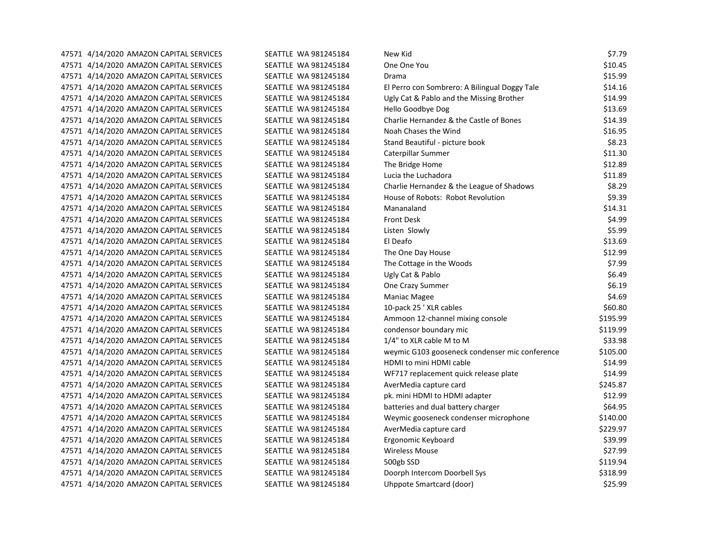| 47571 4/14/2020 AMAZON CAPITAL SERVICES | SEATTLE WA 981245184        | New Kid                                        | \$7.79   |
|-----------------------------------------|-----------------------------|------------------------------------------------|----------|
| 47571 4/14/2020 AMAZON CAPITAL SERVICES | SEATTLE WA 981245184        | One One You                                    | \$10.45  |
| 47571 4/14/2020 AMAZON CAPITAL SERVICES | SEATTLE WA 981245184        | Drama                                          | \$15.99  |
| 47571 4/14/2020 AMAZON CAPITAL SERVICES | SEATTLE WA 981245184        | El Perro con Sombrero: A Bilingual Doggy Tale  | \$14.16  |
| 47571 4/14/2020 AMAZON CAPITAL SERVICES | SEATTLE WA 981245184        | Ugly Cat & Pablo and the Missing Brother       | \$14.99  |
| 47571 4/14/2020 AMAZON CAPITAL SERVICES | SEATTLE WA 981245184        | Hello Goodbye Dog                              | \$13.69  |
| 47571 4/14/2020 AMAZON CAPITAL SERVICES | SEATTLE WA 981245184        | Charlie Hernandez & the Castle of Bones        | \$14.39  |
| 47571 4/14/2020 AMAZON CAPITAL SERVICES | SEATTLE WA 981245184        | Noah Chases the Wind                           | \$16.95  |
| 47571 4/14/2020 AMAZON CAPITAL SERVICES | SEATTLE WA 981245184        | Stand Beautiful - picture book                 | \$8.23   |
| 47571 4/14/2020 AMAZON CAPITAL SERVICES | SEATTLE WA 981245184        | Caterpillar Summer                             | \$11.30  |
| 47571 4/14/2020 AMAZON CAPITAL SERVICES | SEATTLE WA 981245184        | The Bridge Home                                | \$12.89  |
| 47571 4/14/2020 AMAZON CAPITAL SERVICES | SEATTLE WA 981245184        | Lucia the Luchadora                            | \$11.89  |
| 47571 4/14/2020 AMAZON CAPITAL SERVICES | SEATTLE WA 981245184        | Charlie Hernandez & the League of Shadows      | \$8.29   |
| 47571 4/14/2020 AMAZON CAPITAL SERVICES | SEATTLE WA 981245184        | House of Robots: Robot Revolution              | \$9.39   |
| 47571 4/14/2020 AMAZON CAPITAL SERVICES | SEATTLE WA 981245184        | Mananaland                                     | \$14.31  |
| 47571 4/14/2020 AMAZON CAPITAL SERVICES | SEATTLE WA 981245184        | <b>Front Desk</b>                              | \$4.99   |
| 47571 4/14/2020 AMAZON CAPITAL SERVICES | SEATTLE WA 981245184        | Listen Slowly                                  | \$5.99   |
| 47571 4/14/2020 AMAZON CAPITAL SERVICES | SEATTLE WA 981245184        | El Deafo                                       | \$13.69  |
| 47571 4/14/2020 AMAZON CAPITAL SERVICES | SEATTLE WA 981245184        | The One Day House                              | \$12.99  |
| 47571 4/14/2020 AMAZON CAPITAL SERVICES | SEATTLE WA 981245184        | The Cottage in the Woods                       | \$7.99   |
| 47571 4/14/2020 AMAZON CAPITAL SERVICES | SEATTLE WA 981245184        | Ugly Cat & Pablo                               | \$6.49   |
| 47571 4/14/2020 AMAZON CAPITAL SERVICES | SEATTLE WA 981245184        | One Crazy Summer                               | \$6.19   |
| 47571 4/14/2020 AMAZON CAPITAL SERVICES | SEATTLE WA 981245184        | Maniac Magee                                   | \$4.69   |
| 47571 4/14/2020 AMAZON CAPITAL SERVICES | SEATTLE WA 981245184        | 10-pack 25 ' XLR cables                        | \$60.80  |
| 47571 4/14/2020 AMAZON CAPITAL SERVICES | SEATTLE WA 981245184        | Ammoon 12-channel mixing console               | \$195.99 |
| 47571 4/14/2020 AMAZON CAPITAL SERVICES | SEATTLE WA 981245184        | condensor boundary mic                         | \$119.99 |
| 47571 4/14/2020 AMAZON CAPITAL SERVICES | SEATTLE WA 981245184        | 1/4" to XLR cable M to M                       | \$33.98  |
| 47571 4/14/2020 AMAZON CAPITAL SERVICES | SEATTLE WA 981245184        | weymic G103 gooseneck condenser mic conference | \$105.00 |
| 47571 4/14/2020 AMAZON CAPITAL SERVICES | SEATTLE WA 981245184        | HDMI to mini HDMI cable                        | \$14.99  |
| 47571 4/14/2020 AMAZON CAPITAL SERVICES | SEATTLE WA 981245184        | WF717 replacement quick release plate          | \$14.99  |
| 47571 4/14/2020 AMAZON CAPITAL SERVICES | SEATTLE WA 981245184        | AverMedia capture card                         | \$245.87 |
| 47571 4/14/2020 AMAZON CAPITAL SERVICES | SEATTLE WA 981245184        | pk. mini HDMI to HDMI adapter                  | \$12.99  |
| 47571 4/14/2020 AMAZON CAPITAL SERVICES | SEATTLE WA 981245184        | batteries and dual battery charger             | \$64.95  |
| 47571 4/14/2020 AMAZON CAPITAL SERVICES | SEATTLE WA 981245184        | Weymic gooseneck condenser microphone          | \$140.00 |
| 47571 4/14/2020 AMAZON CAPITAL SERVICES | SEATTLE WA 981245184        | AverMedia capture card                         | \$229.97 |
| 47571 4/14/2020 AMAZON CAPITAL SERVICES | SEATTLE WA 981245184        | Ergonomic Keyboard                             | \$39.99  |
| 47571 4/14/2020 AMAZON CAPITAL SERVICES | SEATTLE WA 981245184        | <b>Wireless Mouse</b>                          | \$27.99  |
| 47571 4/14/2020 AMAZON CAPITAL SERVICES | SEATTLE WA 981245184        | 500gb SSD                                      | \$119.94 |
| 47571 4/14/2020 AMAZON CAPITAL SERVICES | SEATTLE WA 981245184        | Doorph Intercom Doorbell Sys                   | \$318.99 |
| 47571 4/14/2020 AMAZON CAPITAL SERVICES | <b>SEATTLE WA 981245184</b> | Uhppote Smartcard (door)                       | \$25.99  |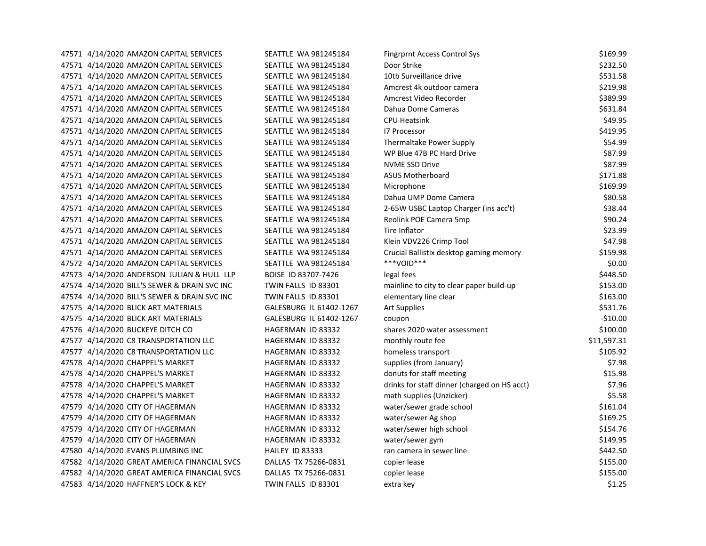| 47571 4/14/2020 AMAZON CAPITAL SERVICES      | SEATTLE WA 981245184    | <b>Fingrprnt Access Control Sys</b>          | \$169.99    |
|----------------------------------------------|-------------------------|----------------------------------------------|-------------|
| 47571 4/14/2020 AMAZON CAPITAL SERVICES      | SEATTLE WA 981245184    | Door Strike                                  | \$232.50    |
| 47571 4/14/2020 AMAZON CAPITAL SERVICES      | SEATTLE WA 981245184    | 10tb Surveillance drive                      | \$531.58    |
| 47571 4/14/2020 AMAZON CAPITAL SERVICES      | SEATTLE WA 981245184    | Amcrest 4k outdoor camera                    | \$219.98    |
| 47571 4/14/2020 AMAZON CAPITAL SERVICES      | SEATTLE WA 981245184    | Amcrest Video Recorder                       | \$389.99    |
| 47571 4/14/2020 AMAZON CAPITAL SERVICES      | SEATTLE WA 981245184    | Dahua Dome Cameras                           | \$631.84    |
| 47571 4/14/2020 AMAZON CAPITAL SERVICES      | SEATTLE WA 981245184    | <b>CPU Heatsink</b>                          | \$49.95     |
| 47571 4/14/2020 AMAZON CAPITAL SERVICES      | SEATTLE WA 981245184    | <b>I7 Processor</b>                          | \$419.95    |
| 47571 4/14/2020 AMAZON CAPITAL SERVICES      | SEATTLE WA 981245184    | Thermaltake Power Supply                     | \$54.99     |
| 47571 4/14/2020 AMAZON CAPITAL SERVICES      | SEATTLE WA 981245184    | WP Blue 47B PC Hard Drive                    | \$87.99     |
| 47571 4/14/2020 AMAZON CAPITAL SERVICES      | SEATTLE WA 981245184    | <b>NVME SSD Drive</b>                        | \$87.99     |
| 47571 4/14/2020 AMAZON CAPITAL SERVICES      | SEATTLE WA 981245184    | <b>ASUS Motherboard</b>                      | \$171.88    |
| 47571 4/14/2020 AMAZON CAPITAL SERVICES      | SEATTLE WA 981245184    | Microphone                                   | \$169.99    |
| 47571 4/14/2020 AMAZON CAPITAL SERVICES      | SEATTLE WA 981245184    | Dahua UMP Dome Camera                        | \$80.58     |
| 47571 4/14/2020 AMAZON CAPITAL SERVICES      | SEATTLE WA 981245184    | 2-65W USBC Laptop Charger (ins acc't)        | \$38.44     |
| 47571 4/14/2020 AMAZON CAPITAL SERVICES      | SEATTLE WA 981245184    | Reolink POE Camera 5mp                       | \$90.24     |
| 47571 4/14/2020 AMAZON CAPITAL SERVICES      | SEATTLE WA 981245184    | Tire Inflator                                | \$23.99     |
| 47571 4/14/2020 AMAZON CAPITAL SERVICES      | SEATTLE WA 981245184    | Klein VDV226 Crimp Tool                      | \$47.98     |
| 47571 4/14/2020 AMAZON CAPITAL SERVICES      | SEATTLE WA 981245184    | Crucial Ballistix desktop gaming memory      | \$159.98    |
| 47572 4/14/2020 AMAZON CAPITAL SERVICES      | SEATTLE WA 981245184    | ***VOID***                                   | \$0.00      |
| 47573 4/14/2020 ANDERSON JULIAN & HULL LLP   | BOISE ID 83707-7426     | legal fees                                   | \$448.50    |
| 47574 4/14/2020 BILL'S SEWER & DRAIN SVC INC | TWIN FALLS ID 83301     | mainline to city to clear paper build-up     | \$153.00    |
| 47574 4/14/2020 BILL'S SEWER & DRAIN SVC INC | TWIN FALLS ID 83301     | elementary line clear                        | \$163.00    |
| 47575 4/14/2020 BLICK ART MATERIALS          | GALESBURG IL 61402-1267 | <b>Art Supplies</b>                          | \$531.76    |
| 47575 4/14/2020 BLICK ART MATERIALS          | GALESBURG IL 61402-1267 | coupon                                       | $-$10.00$   |
| 47576 4/14/2020 BUCKEYE DITCH CO             | HAGERMAN ID 83332       | shares 2020 water assessment                 | \$100.00    |
| 47577 4/14/2020 C8 TRANSPORTATION LLC        | HAGERMAN ID 83332       | monthly route fee                            | \$11,597.31 |
| 47577 4/14/2020 C8 TRANSPORTATION LLC        | HAGERMAN ID 83332       | homeless transport                           | \$105.92    |
| 47578 4/14/2020 CHAPPEL'S MARKET             | HAGERMAN ID 83332       | supplies (from January)                      | \$7.98      |
| 47578 4/14/2020 CHAPPEL'S MARKET             | HAGERMAN ID 83332       | donuts for staff meeting                     | \$15.98     |
| 47578 4/14/2020 CHAPPEL'S MARKET             | HAGERMAN ID 83332       | drinks for staff dinner (charged on HS acct) | \$7.96      |
| 47578 4/14/2020 CHAPPEL'S MARKET             | HAGERMAN ID 83332       | math supplies (Unzicker)                     | \$5.58      |
| 47579 4/14/2020 CITY OF HAGERMAN             | HAGERMAN ID 83332       | water/sewer grade school                     | \$161.04    |
| 47579 4/14/2020 CITY OF HAGERMAN             | HAGERMAN ID 83332       | water/sewer Ag shop                          | \$169.25    |
| 47579 4/14/2020 CITY OF HAGERMAN             | HAGERMAN ID 83332       | water/sewer high school                      | \$154.76    |
| 47579 4/14/2020 CITY OF HAGERMAN             | HAGERMAN ID 83332       | water/sewer gym                              | \$149.95    |
| 47580 4/14/2020 EVANS PLUMBING INC           | HAILEY ID 83333         | ran camera in sewer line                     | \$442.50    |
| 47582 4/14/2020 GREAT AMERICA FINANCIAL SVCS | DALLAS TX 75266-0831    | copier lease                                 | \$155.00    |
| 47582 4/14/2020 GREAT AMERICA FINANCIAL SVCS | DALLAS TX 75266-0831    | copier lease                                 | \$155.00    |
| 47583 4/14/2020 HAFFNER'S LOCK & KEY         | TWIN FALLS ID 83301     | extra key                                    | \$1.25      |
|                                              |                         |                                              |             |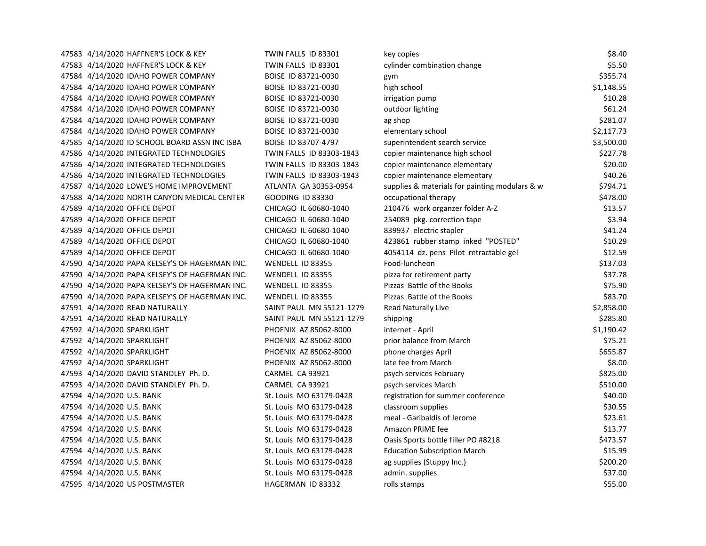| 47583 4/14/2020 HAFFNER'S LOCK & KEY           | TWIN FALLS ID 83301      | key copies                                     | \$8.40     |
|------------------------------------------------|--------------------------|------------------------------------------------|------------|
| 47583 4/14/2020 HAFFNER'S LOCK & KEY           | TWIN FALLS ID 83301      | cylinder combination change                    | \$5.50     |
| 47584 4/14/2020 IDAHO POWER COMPANY            | BOISE ID 83721-0030      | gym                                            | \$355.74   |
| 47584 4/14/2020 IDAHO POWER COMPANY            | BOISE ID 83721-0030      | high school                                    | \$1,148.55 |
| 47584 4/14/2020 IDAHO POWER COMPANY            | BOISE ID 83721-0030      | irrigation pump                                | \$10.28    |
| 47584 4/14/2020 IDAHO POWER COMPANY            | BOISE ID 83721-0030      | outdoor lighting                               | \$61.24    |
| 47584 4/14/2020 IDAHO POWER COMPANY            | BOISE ID 83721-0030      | ag shop                                        | \$281.07   |
| 47584 4/14/2020 IDAHO POWER COMPANY            | BOISE ID 83721-0030      | elementary school                              | \$2,117.73 |
| 47585 4/14/2020 ID SCHOOL BOARD ASSN INC ISBA  | BOISE ID 83707-4797      | superintendent search service                  | \$3,500.00 |
| 47586 4/14/2020 INTEGRATED TECHNOLOGIES        | TWIN FALLS ID 83303-1843 | copier maintenance high school                 | \$227.78   |
| 47586 4/14/2020 INTEGRATED TECHNOLOGIES        | TWIN FALLS ID 83303-1843 | copier maintenance elementary                  | \$20.00    |
| 47586 4/14/2020 INTEGRATED TECHNOLOGIES        | TWIN FALLS ID 83303-1843 | copier maintenance elementary                  | \$40.26    |
| 47587 4/14/2020 LOWE'S HOME IMPROVEMENT        | ATLANTA GA 30353-0954    | supplies & materials for painting modulars & w | \$794.71   |
| 47588 4/14/2020 NORTH CANYON MEDICAL CENTER    | <b>GOODING ID 83330</b>  | occupational therapy                           | \$478.00   |
| 47589 4/14/2020 OFFICE DEPOT                   | CHICAGO IL 60680-1040    | 210476 work organzer folder A-Z                | \$13.57    |
| 47589 4/14/2020 OFFICE DEPOT                   | CHICAGO IL 60680-1040    | 254089 pkg. correction tape                    | \$3.94     |
| 47589 4/14/2020 OFFICE DEPOT                   | CHICAGO IL 60680-1040    | 839937 electric stapler                        | \$41.24    |
| 47589 4/14/2020 OFFICE DEPOT                   | CHICAGO IL 60680-1040    | 423861 rubber stamp inked "POSTED"             | \$10.29    |
| 47589 4/14/2020 OFFICE DEPOT                   | CHICAGO IL 60680-1040    | 4054114 dz. pens Pilot retractable gel         | \$12.59    |
| 47590 4/14/2020 PAPA KELSEY'S OF HAGERMAN INC. | WENDELL ID 83355         | Food-luncheon                                  | \$137.03   |
| 47590 4/14/2020 PAPA KELSEY'S OF HAGERMAN INC. | WENDELL ID 83355         | pizza for retirement party                     | \$37.78    |
| 47590 4/14/2020 PAPA KELSEY'S OF HAGERMAN INC. | WENDELL ID 83355         | Pizzas Battle of the Books                     | \$75.90    |
| 47590 4/14/2020 PAPA KELSEY'S OF HAGERMAN INC. | WENDELL ID 83355         | Pizzas Battle of the Books                     | \$83.70    |
| 47591 4/14/2020 READ NATURALLY                 | SAINT PAUL MN 55121-1279 | Read Naturally Live                            | \$2,858.00 |
| 47591 4/14/2020 READ NATURALLY                 | SAINT PAUL MN 55121-1279 | shipping                                       | \$285.80   |
| 47592 4/14/2020 SPARKLIGHT                     | PHOENIX AZ 85062-8000    | internet - April                               | \$1,190.42 |
| 47592 4/14/2020 SPARKLIGHT                     | PHOENIX AZ 85062-8000    | prior balance from March                       | \$75.21    |
| 47592 4/14/2020 SPARKLIGHT                     | PHOENIX AZ 85062-8000    | phone charges April                            | \$655.87   |
| 47592 4/14/2020 SPARKLIGHT                     | PHOENIX AZ 85062-8000    | late fee from March                            | \$8.00     |
| 47593 4/14/2020 DAVID STANDLEY Ph. D.          | CARMEL CA 93921          | psych services February                        | \$825.00   |
| 47593 4/14/2020 DAVID STANDLEY Ph. D.          | CARMEL CA 93921          | psych services March                           | \$510.00   |
| 47594 4/14/2020 U.S. BANK                      | St. Louis MO 63179-0428  | registration for summer conference             | \$40.00    |
| 47594 4/14/2020 U.S. BANK                      | St. Louis MO 63179-0428  | classroom supplies                             | \$30.55    |
| 47594 4/14/2020 U.S. BANK                      | St. Louis MO 63179-0428  | meal - Garibaldis of Jerome                    | \$23.61    |
| 47594 4/14/2020 U.S. BANK                      | St. Louis MO 63179-0428  | Amazon PRIME fee                               | \$13.77    |
| 47594 4/14/2020 U.S. BANK                      | St. Louis MO 63179-0428  | Oasis Sports bottle filler PO #8218            | \$473.57   |
| 47594 4/14/2020 U.S. BANK                      | St. Louis MO 63179-0428  | <b>Education Subscription March</b>            | \$15.99    |
| 47594 4/14/2020 U.S. BANK                      | St. Louis MO 63179-0428  | ag supplies (Stuppy Inc.)                      | \$200.20   |
| 47594 4/14/2020 U.S. BANK                      | St. Louis MO 63179-0428  | admin. supplies                                | \$37.00    |
| 47595 4/14/2020 US POSTMASTER                  | HAGERMAN ID 83332        | rolls stamps                                   | \$55.00    |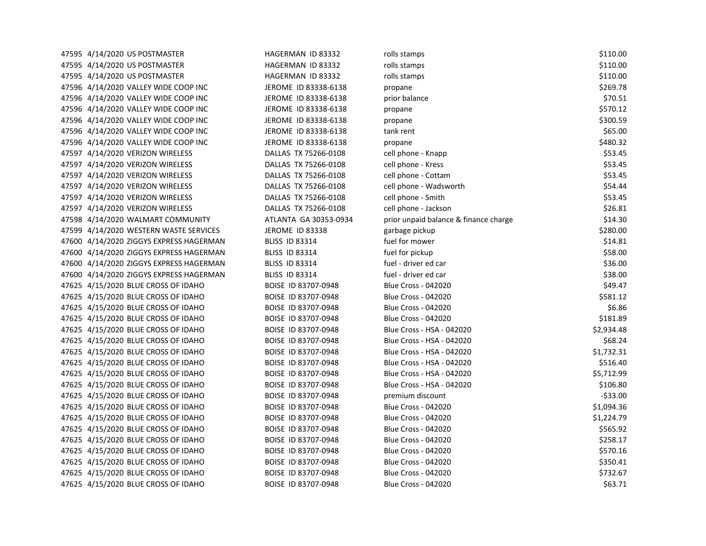| 47595 4/14/2020 US POSTMASTER           | HAGERMAN ID 83332     | rolls stamps                          | \$110.00   |
|-----------------------------------------|-----------------------|---------------------------------------|------------|
| 47595 4/14/2020 US POSTMASTER           | HAGERMAN ID 83332     | rolls stamps                          | \$110.00   |
| 47595 4/14/2020 US POSTMASTER           | HAGERMAN ID 83332     | rolls stamps                          | \$110.00   |
| 47596 4/14/2020 VALLEY WIDE COOP INC    | JEROME ID 83338-6138  | propane                               | \$269.78   |
| 47596 4/14/2020 VALLEY WIDE COOP INC    | JEROME ID 83338-6138  | prior balance                         | \$70.51    |
| 47596 4/14/2020 VALLEY WIDE COOP INC    | JEROME ID 83338-6138  | propane                               | \$570.12   |
| 47596 4/14/2020 VALLEY WIDE COOP INC    | JEROME ID 83338-6138  | propane                               | \$300.59   |
| 47596 4/14/2020 VALLEY WIDE COOP INC    | JEROME ID 83338-6138  | tank rent                             | \$65.00    |
| 47596 4/14/2020 VALLEY WIDE COOP INC    | JEROME ID 83338-6138  | propane                               | \$480.32   |
| 47597 4/14/2020 VERIZON WIRELESS        | DALLAS TX 75266-0108  | cell phone - Knapp                    | \$53.45    |
| 47597 4/14/2020 VERIZON WIRELESS        | DALLAS TX 75266-0108  | cell phone - Kress                    | \$53.45    |
| 47597 4/14/2020 VERIZON WIRELESS        | DALLAS TX 75266-0108  | cell phone - Cottam                   | \$53.45    |
| 47597 4/14/2020 VERIZON WIRELESS        | DALLAS TX 75266-0108  | cell phone - Wadsworth                | \$54.44    |
| 47597 4/14/2020 VERIZON WIRELESS        | DALLAS TX 75266-0108  | cell phone - Smith                    | \$53.45    |
| 47597 4/14/2020 VERIZON WIRELESS        | DALLAS TX 75266-0108  | cell phone - Jackson                  | \$26.81    |
| 47598 4/14/2020 WALMART COMMUNITY       | ATLANTA GA 30353-0934 | prior unpaid balance & finance charge | \$14.30    |
| 47599 4/14/2020 WESTERN WASTE SERVICES  | JEROME ID 83338       | garbage pickup                        | \$280.00   |
| 47600 4/14/2020 ZIGGYS EXPRESS HAGERMAN | <b>BLISS ID 83314</b> | fuel for mower                        | \$14.81    |
| 47600 4/14/2020 ZIGGYS EXPRESS HAGERMAN | <b>BLISS ID 83314</b> | fuel for pickup                       | \$58.00    |
| 47600 4/14/2020 ZIGGYS EXPRESS HAGERMAN | <b>BLISS ID 83314</b> | fuel - driver ed car                  | \$36.00    |
| 47600 4/14/2020 ZIGGYS EXPRESS HAGERMAN | <b>BLISS ID 83314</b> | fuel - driver ed car                  | \$38.00    |
| 47625 4/15/2020 BLUE CROSS OF IDAHO     | BOISE ID 83707-0948   | <b>Blue Cross - 042020</b>            | \$49.47    |
| 47625 4/15/2020 BLUE CROSS OF IDAHO     | BOISE ID 83707-0948   | <b>Blue Cross - 042020</b>            | \$581.12   |
| 47625 4/15/2020 BLUE CROSS OF IDAHO     | BOISE ID 83707-0948   | <b>Blue Cross - 042020</b>            | \$6.86     |
| 47625 4/15/2020 BLUE CROSS OF IDAHO     | BOISE ID 83707-0948   | <b>Blue Cross - 042020</b>            | \$181.89   |
| 47625 4/15/2020 BLUE CROSS OF IDAHO     | BOISE ID 83707-0948   | Blue Cross - HSA - 042020             | \$2,934.48 |
| 47625 4/15/2020 BLUE CROSS OF IDAHO     | BOISE ID 83707-0948   | Blue Cross - HSA - 042020             | \$68.24    |
| 47625 4/15/2020 BLUE CROSS OF IDAHO     | BOISE ID 83707-0948   | Blue Cross - HSA - 042020             | \$1,732.31 |
| 47625 4/15/2020 BLUE CROSS OF IDAHO     | BOISE ID 83707-0948   | Blue Cross - HSA - 042020             | \$516.40   |
| 47625 4/15/2020 BLUE CROSS OF IDAHO     | BOISE ID 83707-0948   | Blue Cross - HSA - 042020             | \$5,712.99 |
| 47625 4/15/2020 BLUE CROSS OF IDAHO     | BOISE ID 83707-0948   | Blue Cross - HSA - 042020             | \$106.80   |
| 47625 4/15/2020 BLUE CROSS OF IDAHO     | BOISE ID 83707-0948   | premium discount                      | $-533.00$  |
| 47625 4/15/2020 BLUE CROSS OF IDAHO     | BOISE ID 83707-0948   | <b>Blue Cross - 042020</b>            | \$1,094.36 |
| 47625 4/15/2020 BLUE CROSS OF IDAHO     | BOISE ID 83707-0948   | <b>Blue Cross - 042020</b>            | \$1,224.79 |
| 47625 4/15/2020 BLUE CROSS OF IDAHO     | BOISE ID 83707-0948   | <b>Blue Cross - 042020</b>            | \$565.92   |
| 47625 4/15/2020 BLUE CROSS OF IDAHO     | BOISE ID 83707-0948   | <b>Blue Cross - 042020</b>            | \$258.17   |
| 47625 4/15/2020 BLUE CROSS OF IDAHO     | BOISE ID 83707-0948   | <b>Blue Cross - 042020</b>            | \$570.16   |
| 47625 4/15/2020 BLUE CROSS OF IDAHO     | BOISE ID 83707-0948   | <b>Blue Cross - 042020</b>            | \$350.41   |
| 47625 4/15/2020 BLUE CROSS OF IDAHO     | BOISE ID 83707-0948   | <b>Blue Cross - 042020</b>            | \$732.67   |
| 47625 4/15/2020 BLUE CROSS OF IDAHO     | BOISE ID 83707-0948   | <b>Blue Cross - 042020</b>            | \$63.71    |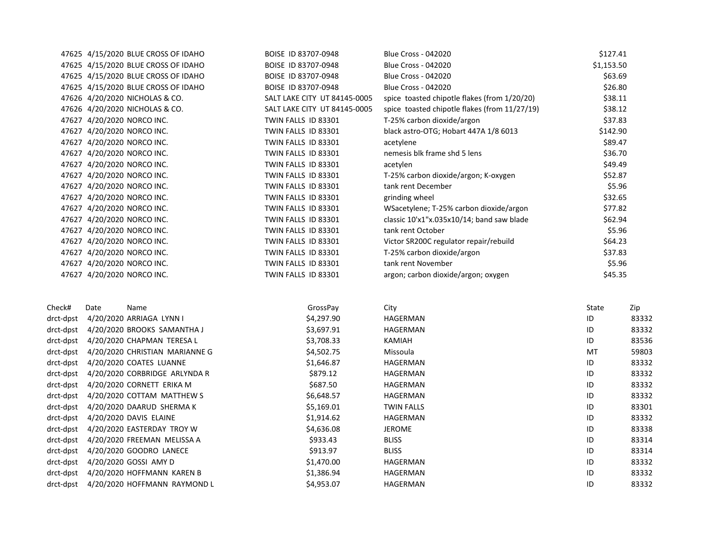|           | 47625 4/15/2020 BLUE CROSS OF IDAHO | BOISE ID 83707-0948          | <b>Blue Cross - 042020</b>                    | \$127.41   |        |
|-----------|-------------------------------------|------------------------------|-----------------------------------------------|------------|--------|
|           | 47625 4/15/2020 BLUE CROSS OF IDAHO | BOISE ID 83707-0948          | <b>Blue Cross - 042020</b>                    | \$1,153.50 |        |
|           | 47625 4/15/2020 BLUE CROSS OF IDAHO | BOISE ID 83707-0948          | <b>Blue Cross - 042020</b>                    | \$63.69    |        |
|           | 47625 4/15/2020 BLUE CROSS OF IDAHO | BOISE ID 83707-0948          | <b>Blue Cross - 042020</b>                    | \$26.80    |        |
|           | 47626 4/20/2020 NICHOLAS & CO.      | SALT LAKE CITY UT 84145-0005 | spice toasted chipotle flakes (from 1/20/20)  | \$38.11    |        |
|           | 47626 4/20/2020 NICHOLAS & CO.      | SALT LAKE CITY UT 84145-0005 | spice toasted chipotle flakes (from 11/27/19) | \$38.12    |        |
|           | 47627 4/20/2020 NORCO INC.          | TWIN FALLS ID 83301          | T-25% carbon dioxide/argon                    | \$37.83    |        |
|           | 47627 4/20/2020 NORCO INC.          | TWIN FALLS ID 83301          | black astro-OTG; Hobart 447A 1/8 6013         | \$142.90   |        |
|           | 47627 4/20/2020 NORCO INC.          | TWIN FALLS ID 83301          | acetylene                                     | \$89.47    |        |
|           | 47627 4/20/2020 NORCO INC.          | TWIN FALLS ID 83301          | nemesis blk frame shd 5 lens                  | \$36.70    |        |
|           | 47627 4/20/2020 NORCO INC.          | TWIN FALLS ID 83301          | acetylen                                      | \$49.49    |        |
|           | 47627 4/20/2020 NORCO INC.          | TWIN FALLS ID 83301          | T-25% carbon dioxide/argon; K-oxygen          | \$52.87    |        |
|           | 47627 4/20/2020 NORCO INC.          | TWIN FALLS ID 83301          | tank rent December                            |            | \$5.96 |
|           | 47627 4/20/2020 NORCO INC.          | TWIN FALLS ID 83301          | grinding wheel                                | \$32.65    |        |
|           | 47627 4/20/2020 NORCO INC.          | TWIN FALLS ID 83301          | WSacetylene; T-25% carbon dioxide/argon       | \$77.82    |        |
|           | 47627 4/20/2020 NORCO INC.          | TWIN FALLS ID 83301          | classic 10'x1"x.035x10/14; band saw blade     | \$62.94    |        |
|           | 47627 4/20/2020 NORCO INC.          | TWIN FALLS ID 83301          | tank rent October                             | \$5.96     |        |
|           | 47627 4/20/2020 NORCO INC.          | TWIN FALLS ID 83301          | Victor SR200C regulator repair/rebuild        | \$64.23    |        |
|           | 47627 4/20/2020 NORCO INC.          | TWIN FALLS ID 83301          | T-25% carbon dioxide/argon                    | \$37.83    |        |
|           | 47627 4/20/2020 NORCO INC.          | TWIN FALLS ID 83301          | tank rent November                            | \$5.96     |        |
|           | 47627 4/20/2020 NORCO INC.          | TWIN FALLS ID 83301          | argon; carbon dioxide/argon; oxygen           | \$45.35    |        |
| Check#    | Name<br>Date                        | GrossPay                     | City                                          | State      | Zip    |
| drct-dpst | 4/20/2020 ARRIAGA LYNN I            | \$4,297.90                   | HAGERMAN                                      | ID         | 83332  |
| drct-dpst | 4/20/2020 BROOKS SAMANTHA J         | \$3,697.91                   | HAGERMAN                                      | ID         | 83332  |
| drct-dpst | 4/20/2020 CHAPMAN TERESA L          | \$3,708.33                   | KAMIAH                                        | ID         | 83536  |
| drct-dpst | 4/20/2020 CHRISTIAN MARIANNE G      | \$4,502.75                   | Missoula                                      | МT         | 59803  |
| drct-dpst | 4/20/2020 COATES LUANNE             | \$1,646.87                   | HAGERMAN                                      | ID         | 83332  |
| drct-dpst | 4/20/2020 CORBRIDGE ARLYNDA R       | \$879.12                     | HAGERMAN                                      | ID         | 83332  |
| drct-dpst | 4/20/2020 CORNETT ERIKA M           | \$687.50                     | HAGERMAN                                      | ID         | 83332  |
| drct-dpst | 4/20/2020 COTTAM MATTHEW S          | \$6,648.57                   | HAGERMAN                                      | ID         | 83332  |
| drct-dpst | 4/20/2020 DAARUD SHERMA K           | \$5,169.01                   | <b>TWIN FALLS</b>                             | ID         | 83301  |
| drct-dpst | 4/20/2020 DAVIS ELAINE              | \$1,914.62                   | <b>HAGERMAN</b>                               | ID         | 83332  |
| drct-dpst | 4/20/2020 EASTERDAY TROY W          | \$4,636.08                   | <b>JEROME</b>                                 | ID         | 83338  |
| drct-dpst | 4/20/2020 FREEMAN MELISSA A         | \$933.43                     | <b>BLISS</b>                                  | ID         | 83314  |
| drct-dpst | 4/20/2020 GOODRO LANECE             | \$913.97                     | <b>BLISS</b>                                  | ID         | 83314  |
| drct-dpst | 4/20/2020 GOSSI AMY D               | \$1,470.00                   | HAGERMAN                                      | ID         | 83332  |
| drct-dpst | 4/20/2020 HOFFMANN KAREN B          | \$1,386.94                   | HAGERMAN                                      | ID         | 83332  |
| drct-dpst | 4/20/2020 HOFFMANN RAYMOND L        | \$4,953.07                   | <b>HAGERMAN</b>                               | ID         | 83332  |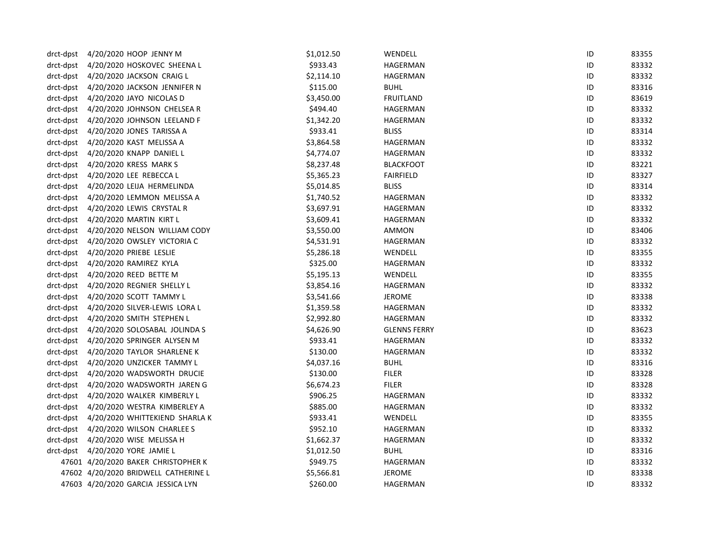| drct-dpst | 4/20/2020 HOOP JENNY M                   | \$1,012.50 | WENDELL             | ID | 83355 |
|-----------|------------------------------------------|------------|---------------------|----|-------|
| drct-dpst | 4/20/2020 HOSKOVEC SHEENA L              | \$933.43   | HAGERMAN            | ID | 83332 |
| drct-dpst | 4/20/2020 JACKSON CRAIG L                | \$2,114.10 | HAGERMAN            | ID | 83332 |
| drct-dpst | 4/20/2020 JACKSON JENNIFER N             | \$115.00   | <b>BUHL</b>         | ID | 83316 |
| drct-dpst | 4/20/2020 JAYO NICOLAS D                 | \$3,450.00 | <b>FRUITLAND</b>    | ID | 83619 |
| drct-dpst | 4/20/2020 JOHNSON CHELSEA R              | \$494.40   | HAGERMAN            | ID | 83332 |
| drct-dpst | 4/20/2020 JOHNSON LEELAND F              | \$1,342.20 | HAGERMAN            | ID | 83332 |
| drct-dpst | 4/20/2020 JONES TARISSA A                | \$933.41   | <b>BLISS</b>        | ID | 83314 |
| drct-dpst | 4/20/2020 KAST MELISSA A                 | \$3,864.58 | HAGERMAN            | ID | 83332 |
| drct-dpst | 4/20/2020 KNAPP DANIEL L                 | \$4,774.07 | HAGERMAN            | ID | 83332 |
| drct-dpst | 4/20/2020 KRESS MARK S                   | \$8,237.48 | <b>BLACKFOOT</b>    | ID | 83221 |
| drct-dpst | 4/20/2020 LEE REBECCA L                  | \$5,365.23 | <b>FAIRFIELD</b>    | ID | 83327 |
| drct-dpst | 4/20/2020 LEIJA HERMELINDA               | \$5,014.85 | <b>BLISS</b>        | ID | 83314 |
| drct-dpst | 4/20/2020 LEMMON MELISSA A               | \$1,740.52 | HAGERMAN            | ID | 83332 |
| drct-dpst | 4/20/2020 LEWIS CRYSTAL R                | \$3,697.91 | HAGERMAN            | ID | 83332 |
| drct-dpst | 4/20/2020 MARTIN KIRT L                  | \$3,609.41 | HAGERMAN            | ID | 83332 |
| drct-dpst | 4/20/2020 NELSON WILLIAM CODY            | \$3,550.00 | AMMON               | ID | 83406 |
| drct-dpst | 4/20/2020 OWSLEY VICTORIA C              | \$4,531.91 | HAGERMAN            | ID | 83332 |
| drct-dpst | 4/20/2020 PRIEBE LESLIE                  | \$5,286.18 | WENDELL             | ID | 83355 |
| drct-dpst | 4/20/2020 RAMIREZ KYLA                   | \$325.00   | HAGERMAN            | ID | 83332 |
| drct-dpst | 4/20/2020 REED BETTE M                   | \$5,195.13 | WENDELL             | ID | 83355 |
| drct-dpst | 4/20/2020 REGNIER SHELLY L               | \$3,854.16 | HAGERMAN            | ID | 83332 |
| drct-dpst | 4/20/2020 SCOTT TAMMY L                  | \$3,541.66 | JEROME              | ID | 83338 |
| drct-dpst | 4/20/2020 SILVER-LEWIS LORA L            | \$1,359.58 | HAGERMAN            | ID | 83332 |
| drct-dpst | 4/20/2020 SMITH STEPHEN L                | \$2,992.80 | HAGERMAN            | ID | 83332 |
| drct-dpst | 4/20/2020 SOLOSABAL JOLINDA S            | \$4,626.90 | <b>GLENNS FERRY</b> | ID | 83623 |
| drct-dpst | 4/20/2020 SPRINGER ALYSEN M              | \$933.41   | HAGERMAN            | ID | 83332 |
| drct-dpst | 4/20/2020 TAYLOR SHARLENE K              | \$130.00   | HAGERMAN            | ID | 83332 |
| drct-dpst | 4/20/2020 UNZICKER TAMMY L               | \$4,037.16 | <b>BUHL</b>         | ID | 83316 |
| drct-dpst | 4/20/2020 WADSWORTH DRUCIE               | \$130.00   | <b>FILER</b>        | ID | 83328 |
| drct-dpst | 4/20/2020 WADSWORTH JAREN G              | \$6,674.23 | <b>FILER</b>        | ID | 83328 |
| drct-dpst | 4/20/2020 WALKER KIMBERLY L              | \$906.25   | HAGERMAN            | ID | 83332 |
| drct-dpst | 4/20/2020 WESTRA KIMBERLEY A             | \$885.00   | HAGERMAN            | ID | 83332 |
|           | drct-dpst 4/20/2020 WHITTEKIEND SHARLA K | \$933.41   | WENDELL             | ID | 83355 |
| drct-dpst | 4/20/2020 WILSON CHARLEE S               | \$952.10   | HAGERMAN            | ID | 83332 |
| drct-dpst | 4/20/2020 WISE MELISSA H                 | \$1,662.37 | HAGERMAN            | ID | 83332 |
| drct-dpst | 4/20/2020 YORE JAMIE L                   | \$1,012.50 | <b>BUHL</b>         | ID | 83316 |
|           | 47601 4/20/2020 BAKER CHRISTOPHER K      | \$949.75   | HAGERMAN            | ID | 83332 |
|           | 47602 4/20/2020 BRIDWELL CATHERINE L     | \$5,566.81 | <b>JEROME</b>       | ID | 83338 |
|           | 47603 4/20/2020 GARCIA JESSICA LYN       | \$260.00   | <b>HAGERMAN</b>     | ID | 83332 |